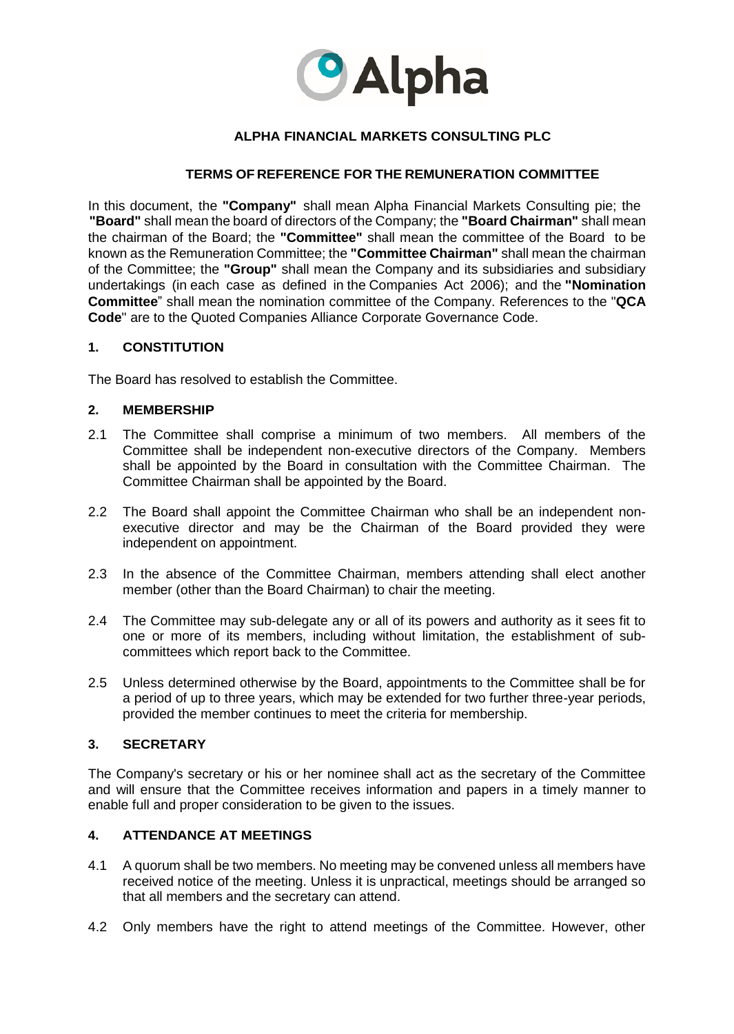

# **ALPHA FINANCIAL MARKETS CONSULTING PLC**

## **TERMS OF REFERENCE FOR THE REMUNERATION COMMITTEE**

In this document, the **"Company"** shall mean Alpha Financial Markets Consulting pie; the **"Board"** shall mean the board of directors of the Company; the **"Board Chairman"** shall mean the chairman of the Board; the **"Committee"** shall mean the committee of the Board to be known as the Remuneration Committee; the **"Committee Chairman"** shall mean the chairman of the Committee; the **"Group"** shall mean the Company and its subsidiaries and subsidiary undertakings (in each case as defined in the Companies Act 2006); and the **"Nomination Committee**" shall mean the nomination committee of the Company. References to the "**QCA Code**" are to the Quoted Companies Alliance Corporate Governance Code.

### **1. CONSTITUTION**

The Board has resolved to establish the Committee.

### **2. MEMBERSHIP**

- 2.1 The Committee shall comprise a minimum of two members. All members of the Committee shall be independent non-executive directors of the Company. Members shall be appointed by the Board in consultation with the Committee Chairman. The Committee Chairman shall be appointed by the Board.
- 2.2 The Board shall appoint the Committee Chairman who shall be an independent nonexecutive director and may be the Chairman of the Board provided they were independent on appointment.
- 2.3 In the absence of the Committee Chairman, members attending shall elect another member (other than the Board Chairman) to chair the meeting.
- 2.4 The Committee may sub-delegate any or all of its powers and authority as it sees fit to one or more of its members, including without limitation, the establishment of subcommittees which report back to the Committee.
- 2.5 Unless determined otherwise by the Board, appointments to the Committee shall be for a period of up to three years, which may be extended for two further three-year periods, provided the member continues to meet the criteria for membership.

#### **3. SECRETARY**

The Company's secretary or his or her nominee shall act as the secretary of the Committee and will ensure that the Committee receives information and papers in a timely manner to enable full and proper consideration to be given to the issues.

## **4. ATTENDANCE AT MEETINGS**

- 4.1 A quorum shall be two members. No meeting may be convened unless all members have received notice of the meeting. Unless it is unpractical, meetings should be arranged so that all members and the secretary can attend.
- 4.2 Only members have the right to attend meetings of the Committee. However, other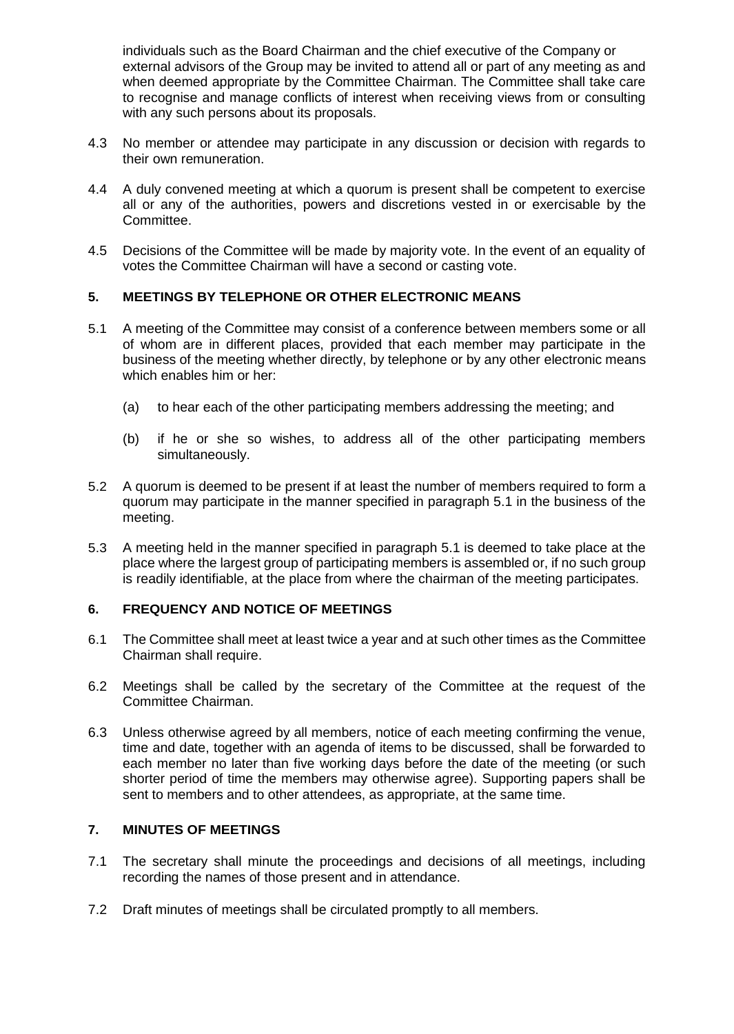individuals such as the Board Chairman and the chief executive of the Company or external advisors of the Group may be invited to attend all or part of any meeting as and when deemed appropriate by the Committee Chairman. The Committee shall take care to recognise and manage conflicts of interest when receiving views from or consulting with any such persons about its proposals.

- 4.3 No member or attendee may participate in any discussion or decision with regards to their own remuneration.
- 4.4 A duly convened meeting at which a quorum is present shall be competent to exercise all or any of the authorities, powers and discretions vested in or exercisable by the Committee.
- 4.5 Decisions of the Committee will be made by majority vote. In the event of an equality of votes the Committee Chairman will have a second or casting vote.

# **5. MEETINGS BY TELEPHONE OR OTHER ELECTRONIC MEANS**

- 5.1 A meeting of the Committee may consist of a conference between members some or all of whom are in different places, provided that each member may participate in the business of the meeting whether directly, by telephone or by any other electronic means which enables him or her:
	- (a) to hear each of the other participating members addressing the meeting; and
	- (b) if he or she so wishes, to address all of the other participating members simultaneously.
- 5.2 A quorum is deemed to be present if at least the number of members required to form a quorum may participate in the manner specified in paragraph 5.1 in the business of the meeting.
- 5.3 A meeting held in the manner specified in paragraph 5.1 is deemed to take place at the place where the largest group of participating members is assembled or, if no such group is readily identifiable, at the place from where the chairman of the meeting participates.

# **6. FREQUENCY AND NOTICE OF MEETINGS**

- 6.1 The Committee shall meet at least twice a year and at such other times as the Committee Chairman shall require.
- 6.2 Meetings shall be called by the secretary of the Committee at the request of the Committee Chairman.
- 6.3 Unless otherwise agreed by all members, notice of each meeting confirming the venue, time and date, together with an agenda of items to be discussed, shall be forwarded to each member no later than five working days before the date of the meeting (or such shorter period of time the members may otherwise agree). Supporting papers shall be sent to members and to other attendees, as appropriate, at the same time.

## **7. MINUTES OF MEETINGS**

- 7.1 The secretary shall minute the proceedings and decisions of all meetings, including recording the names of those present and in attendance.
- 7.2 Draft minutes of meetings shall be circulated promptly to all members.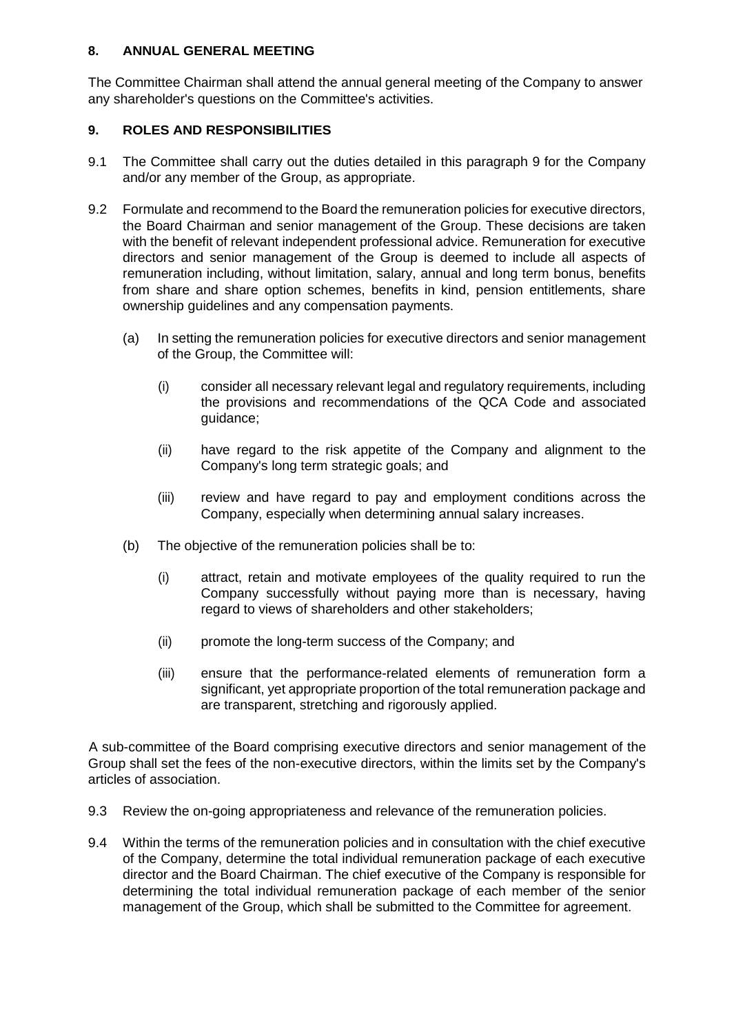## **8. ANNUAL GENERAL MEETING**

The Committee Chairman shall attend the annual general meeting of the Company to answer any shareholder's questions on the Committee's activities.

# **9. ROLES AND RESPONSIBILITIES**

- 9.1 The Committee shall carry out the duties detailed in this paragraph 9 for the Company and/or any member of the Group, as appropriate.
- 9.2 Formulate and recommend to the Board the remuneration policies for executive directors, the Board Chairman and senior management of the Group. These decisions are taken with the benefit of relevant independent professional advice. Remuneration for executive directors and senior management of the Group is deemed to include all aspects of remuneration including, without limitation, salary, annual and long term bonus, benefits from share and share option schemes, benefits in kind, pension entitlements, share ownership guidelines and any compensation payments.
	- (a) In setting the remuneration policies for executive directors and senior management of the Group, the Committee will:
		- (i) consider all necessary relevant legal and regulatory requirements, including the provisions and recommendations of the QCA Code and associated guidance;
		- (ii) have regard to the risk appetite of the Company and alignment to the Company's long term strategic goals; and
		- (iii) review and have regard to pay and employment conditions across the Company, especially when determining annual salary increases.
	- (b) The objective of the remuneration policies shall be to:
		- (i) attract, retain and motivate employees of the quality required to run the Company successfully without paying more than is necessary, having regard to views of shareholders and other stakeholders;
		- (ii) promote the long-term success of the Company; and
		- (iii) ensure that the performance-related elements of remuneration form a significant, yet appropriate proportion of the total remuneration package and are transparent, stretching and rigorously applied.

A sub-committee of the Board comprising executive directors and senior management of the Group shall set the fees of the non-executive directors, within the limits set by the Company's articles of association.

- 9.3 Review the on-going appropriateness and relevance of the remuneration policies.
- 9.4 Within the terms of the remuneration policies and in consultation with the chief executive of the Company, determine the total individual remuneration package of each executive director and the Board Chairman. The chief executive of the Company is responsible for determining the total individual remuneration package of each member of the senior management of the Group, which shall be submitted to the Committee for agreement.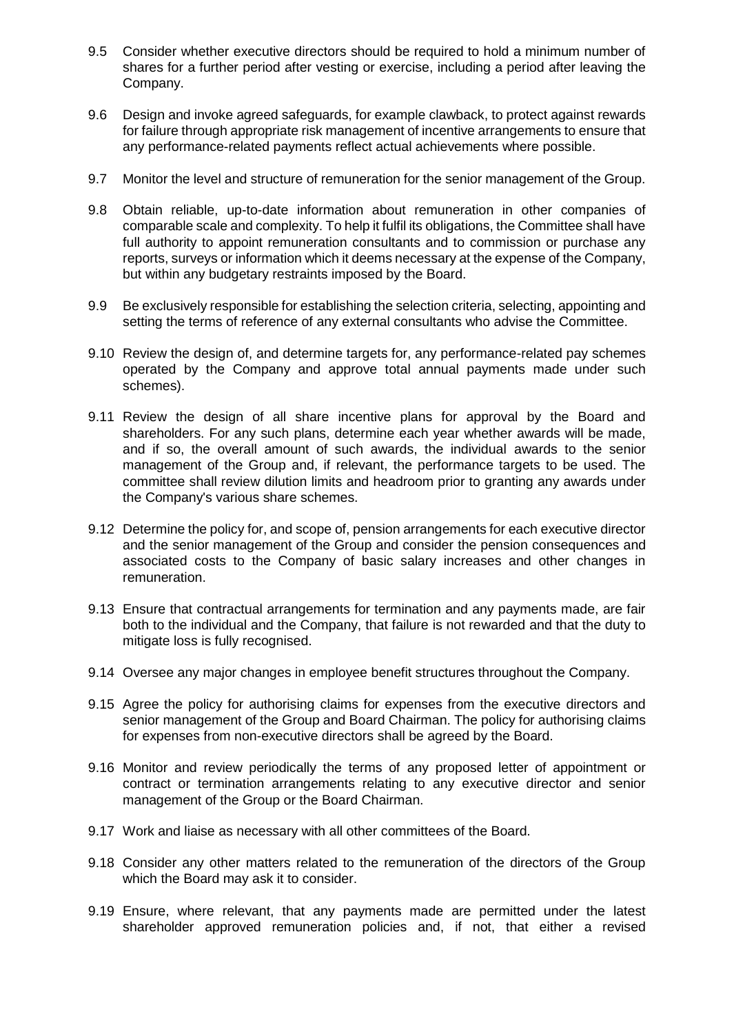- 9.5 Consider whether executive directors should be required to hold a minimum number of shares for a further period after vesting or exercise, including a period after leaving the Company.
- 9.6 Design and invoke agreed safeguards, for example clawback, to protect against rewards for failure through appropriate risk management of incentive arrangements to ensure that any performance-related payments reflect actual achievements where possible.
- 9.7 Monitor the level and structure of remuneration for the senior management of the Group.
- 9.8 Obtain reliable, up-to-date information about remuneration in other companies of comparable scale and complexity. To help it fulfil its obligations, the Committee shall have full authority to appoint remuneration consultants and to commission or purchase any reports, surveys or information which it deems necessary at the expense of the Company, but within any budgetary restraints imposed by the Board.
- 9.9 Be exclusively responsible for establishing the selection criteria, selecting, appointing and setting the terms of reference of any external consultants who advise the Committee.
- 9.10 Review the design of, and determine targets for, any performance-related pay schemes operated by the Company and approve total annual payments made under such schemes).
- 9.11 Review the design of all share incentive plans for approval by the Board and shareholders. For any such plans, determine each year whether awards will be made, and if so, the overall amount of such awards, the individual awards to the senior management of the Group and, if relevant, the performance targets to be used. The committee shall review dilution limits and headroom prior to granting any awards under the Company's various share schemes.
- 9.12 Determine the policy for, and scope of, pension arrangements for each executive director and the senior management of the Group and consider the pension consequences and associated costs to the Company of basic salary increases and other changes in remuneration.
- 9.13 Ensure that contractual arrangements for termination and any payments made, are fair both to the individual and the Company, that failure is not rewarded and that the duty to mitigate loss is fully recognised.
- 9.14 Oversee any major changes in employee benefit structures throughout the Company.
- 9.15 Agree the policy for authorising claims for expenses from the executive directors and senior management of the Group and Board Chairman. The policy for authorising claims for expenses from non-executive directors shall be agreed by the Board.
- 9.16 Monitor and review periodically the terms of any proposed letter of appointment or contract or termination arrangements relating to any executive director and senior management of the Group or the Board Chairman.
- 9.17 Work and liaise as necessary with all other committees of the Board.
- 9.18 Consider any other matters related to the remuneration of the directors of the Group which the Board may ask it to consider.
- 9.19 Ensure, where relevant, that any payments made are permitted under the latest shareholder approved remuneration policies and, if not, that either a revised